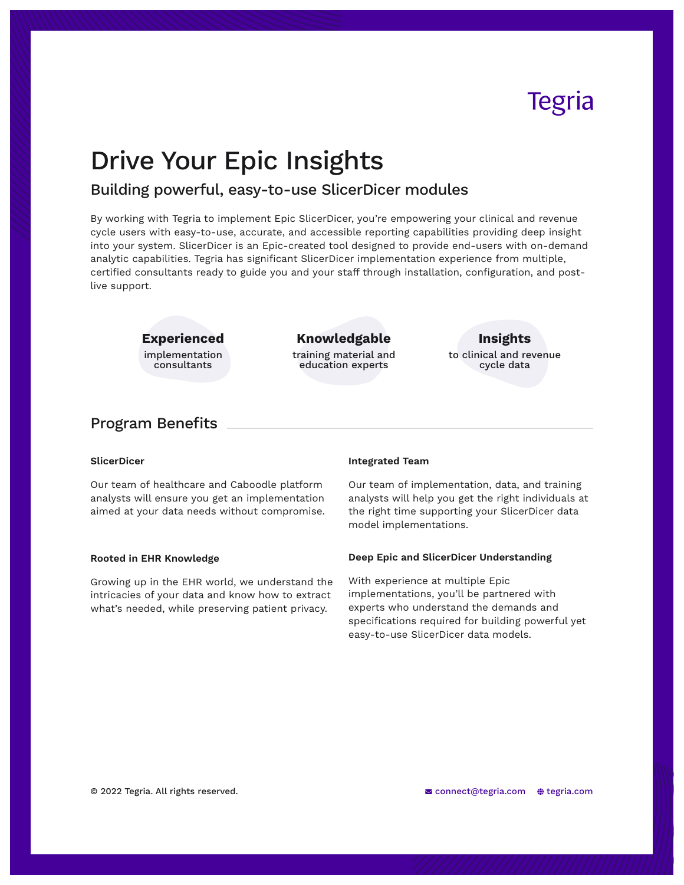# Tegria

## Drive Your Epic Insights

## Building powerful, easy-to-use SlicerDicer modules

By working with Tegria to implement Epic SlicerDicer, you're empowering your clinical and revenue cycle users with easy-to-use, accurate, and accessible reporting capabilities providing deep insight into your system. SlicerDicer is an Epic-created tool designed to provide end-users with on-demand analytic capabilities. Tegria has significant SlicerDicer implementation experience from multiple, certified consultants ready to guide you and your staff through installation, configuration, and postlive support.

**Experienced**

implementation consultants

## **Knowledgable**

training material and education experts

## **Insights**

to clinical and revenue cycle data

## Program Benefits

#### **SlicerDicer**

Our team of healthcare and Caboodle platform analysts will ensure you get an implementation aimed at your data needs without compromise.

#### **Rooted in EHR Knowledge**

Growing up in the EHR world, we understand the intricacies of your data and know how to extract what's needed, while preserving patient privacy.

#### **Integrated Team**

Our team of implementation, data, and training analysts will help you get the right individuals at the right time supporting your SlicerDicer data model implementations.

#### **Deep Epic and SlicerDicer Understanding**

With experience at multiple Epic implementations, you'll be partnered with experts who understand the demands and specifications required for building powerful yet easy-to-use SlicerDicer data models.